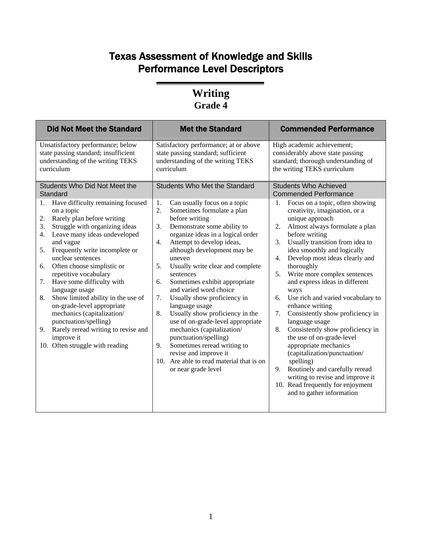## Texas Assessment of Knowledge and Skills Performance Level Descriptors

#### **Writing Grade 4**

| Unsatisfactory performance; below<br>High academic achievement;<br>Satisfactory performance; at or above<br>state passing standard; insufficient<br>state passing standard; sufficient<br>considerably above state passing<br>understanding of the writing TEKS<br>understanding of the writing TEKS<br>standard; thorough understanding of<br>the writing TEKS curriculum<br>curriculum<br>curriculum<br>Students Who Did Not Meet the<br><b>Students Who Met the Standard</b><br><b>Students Who Achieved</b><br>Standard<br><b>Commended Performance</b><br>Have difficulty remaining focused<br>Can usually focus on a topic<br>Focus on a topic, often showing<br>1.<br>1.<br>1.<br>Sometimes formulate a plan<br>2.<br>creativity, imagination, or a<br>on a topic<br>Rarely plan before writing<br>before writing<br>unique approach<br>2.<br>Struggle with organizing ideas<br>3.<br>Demonstrate some ability to<br>Almost always formulate a plan<br>2.<br>3.<br>Leave many ideas undeveloped<br>organize ideas in a logical order<br>before writing<br>4.<br>Usually transition from idea to<br>and vague<br>Attempt to develop ideas,<br>3.<br>4.<br>Frequently write incomplete or<br>although development may be<br>idea smoothly and logically<br>5.<br>unclear sentences<br>Develop most ideas clearly and<br>uneven<br>4.<br>Usually write clear and complete<br>thoroughly<br>Often choose simplistic or<br>5.<br>6.<br>repetitive vocabulary<br>Write more complex sentences<br>5.<br>sentences<br>Have some difficulty with<br>and express ideas in different<br>Sometimes exhibit appropriate<br>6.<br>7.<br>and varied word choice<br>language usage<br>ways<br>Show limited ability in the use of<br>Usually show proficiency in<br>Use rich and varied vocabulary to<br>7.<br>8.<br>6.<br>on-grade-level appropriate<br>language usage<br>enhance writing<br>mechanics (capitalization/<br>Usually show proficiency in the<br>Consistently show proficiency in<br>7.<br>8.<br>punctuation/spelling)<br>use of on-grade-level appropriate<br>language usage<br>9. Rarely reread writing to revise and<br>mechanics (capitalization/<br>Consistently show proficiency in<br>8.<br>punctuation/spelling)<br>the use of on-grade-level<br>improve it<br>9.<br>Sometimes reread writing to<br>appropriate mechanics<br>10. Often struggle with reading<br>revise and improve it<br>(capitalization/punctuation/<br>10. Are able to read material that is on<br>spelling)<br>Routinely and carefully reread<br>or near grade level<br>9. | <b>Did Not Meet the Standard</b> | <b>Met the Standard</b> | <b>Commended Performance</b>     |
|-----------------------------------------------------------------------------------------------------------------------------------------------------------------------------------------------------------------------------------------------------------------------------------------------------------------------------------------------------------------------------------------------------------------------------------------------------------------------------------------------------------------------------------------------------------------------------------------------------------------------------------------------------------------------------------------------------------------------------------------------------------------------------------------------------------------------------------------------------------------------------------------------------------------------------------------------------------------------------------------------------------------------------------------------------------------------------------------------------------------------------------------------------------------------------------------------------------------------------------------------------------------------------------------------------------------------------------------------------------------------------------------------------------------------------------------------------------------------------------------------------------------------------------------------------------------------------------------------------------------------------------------------------------------------------------------------------------------------------------------------------------------------------------------------------------------------------------------------------------------------------------------------------------------------------------------------------------------------------------------------------------------------------------------------------------------------------------------------------------------------------------------------------------------------------------------------------------------------------------------------------------------------------------------------------------------------------------------------------------------------------------------------------------------------------------------------------------------------------------------------------------------------------------------------------------|----------------------------------|-------------------------|----------------------------------|
|                                                                                                                                                                                                                                                                                                                                                                                                                                                                                                                                                                                                                                                                                                                                                                                                                                                                                                                                                                                                                                                                                                                                                                                                                                                                                                                                                                                                                                                                                                                                                                                                                                                                                                                                                                                                                                                                                                                                                                                                                                                                                                                                                                                                                                                                                                                                                                                                                                                                                                                                                           |                                  |                         |                                  |
|                                                                                                                                                                                                                                                                                                                                                                                                                                                                                                                                                                                                                                                                                                                                                                                                                                                                                                                                                                                                                                                                                                                                                                                                                                                                                                                                                                                                                                                                                                                                                                                                                                                                                                                                                                                                                                                                                                                                                                                                                                                                                                                                                                                                                                                                                                                                                                                                                                                                                                                                                           |                                  |                         |                                  |
| 10. Read frequently for enjoyment<br>and to gather information                                                                                                                                                                                                                                                                                                                                                                                                                                                                                                                                                                                                                                                                                                                                                                                                                                                                                                                                                                                                                                                                                                                                                                                                                                                                                                                                                                                                                                                                                                                                                                                                                                                                                                                                                                                                                                                                                                                                                                                                                                                                                                                                                                                                                                                                                                                                                                                                                                                                                            |                                  |                         | writing to revise and improve it |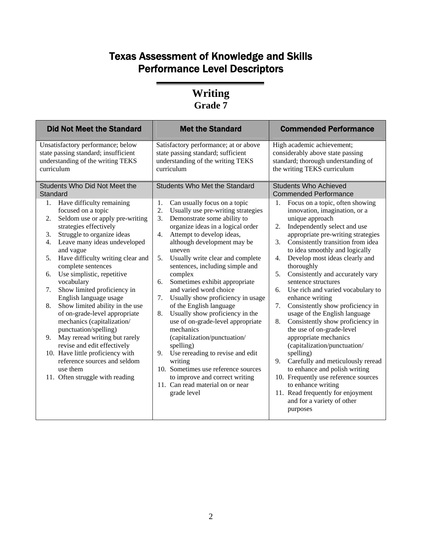## Texas Assessment of Knowledge and Skills Performance Level Descriptors

#### **Writing Grade 7**

| Unsatisfactory performance; below<br>Satisfactory performance; at or above<br>High academic achievement;<br>state passing standard; insufficient<br>state passing standard; sufficient<br>considerably above state passing<br>understanding of the writing TEKS<br>standard; thorough understanding of<br>understanding of the writing TEKS<br>the writing TEKS curriculum<br>curriculum<br>curriculum<br>Students Who Did Not Meet the<br><b>Students Who Met the Standard</b><br><b>Students Who Achieved</b><br>Standard<br><b>Commended Performance</b><br>Focus on a topic, often showing<br>Have difficulty remaining<br>Can usually focus on a topic<br>1.<br>1.<br>1.<br>focused on a topic<br>Usually use pre-writing strategies<br>innovation, imagination, or a<br>2.<br>Seldom use or apply pre-writing<br>Demonstrate some ability to<br>unique approach<br>3.<br>2.<br>strategies effectively<br>organize ideas in a logical order<br>Independently select and use<br>2.<br>Struggle to organize ideas<br>Attempt to develop ideas,<br>appropriate pre-writing strategies<br>3.<br>4.<br>Leave many ideas undeveloped<br>Consistently transition from idea<br>although development may be<br>3.<br>4.<br>to idea smoothly and logically<br>and vague<br>uneven<br>Have difficulty writing clear and<br>Develop most ideas clearly and<br>5.<br>Usually write clear and complete<br>4.<br>5.<br>sentences, including simple and<br>complete sentences<br>thoroughly<br>Use simplistic, repetitive<br>Consistently and accurately vary<br>complex<br>5.<br>6.<br>Sometimes exhibit appropriate<br>vocabulary<br>sentence structures<br>6.<br>Show limited proficiency in<br>and varied word choice<br>Use rich and varied vocabulary to<br>7.<br>6.<br>English language usage<br>Usually show proficiency in usage<br>enhance writing<br>7.<br>Consistently show proficiency in<br>Show limited ability in the use<br>of the English language<br>7.<br>8.<br>Usually show proficiency in the<br>of on-grade-level appropriate<br>usage of the English language<br>8.<br>mechanics (capitalization/<br>use of on-grade-level appropriate<br>Consistently show proficiency in<br>8.<br>the use of on-grade-level<br>punctuation/spelling)<br>mechanics<br>May reread writing but rarely<br>appropriate mechanics<br>(capitalization/punctuation/<br>9.<br>revise and edit effectively<br>(capitalization/punctuation/<br>spelling)<br>10. Have little proficiency with<br>Use rereading to revise and edit<br>9.<br>spelling)<br>Carefully and meticulously reread<br>reference sources and seldom<br>writing<br>9.<br>10. Sometimes use reference sources<br>to enhance and polish writing<br>use them<br>to improve and correct writing<br>10. Frequently use reference sources<br>11. Often struggle with reading<br>11. Can read material on or near<br>to enhance writing<br>11. Read frequently for enjoyment<br>grade level<br>and for a variety of other | <b>Did Not Meet the Standard</b> | <b>Met the Standard</b> | <b>Commended Performance</b> |
|----------------------------------------------------------------------------------------------------------------------------------------------------------------------------------------------------------------------------------------------------------------------------------------------------------------------------------------------------------------------------------------------------------------------------------------------------------------------------------------------------------------------------------------------------------------------------------------------------------------------------------------------------------------------------------------------------------------------------------------------------------------------------------------------------------------------------------------------------------------------------------------------------------------------------------------------------------------------------------------------------------------------------------------------------------------------------------------------------------------------------------------------------------------------------------------------------------------------------------------------------------------------------------------------------------------------------------------------------------------------------------------------------------------------------------------------------------------------------------------------------------------------------------------------------------------------------------------------------------------------------------------------------------------------------------------------------------------------------------------------------------------------------------------------------------------------------------------------------------------------------------------------------------------------------------------------------------------------------------------------------------------------------------------------------------------------------------------------------------------------------------------------------------------------------------------------------------------------------------------------------------------------------------------------------------------------------------------------------------------------------------------------------------------------------------------------------------------------------------------------------------------------------------------------------------------------------------------------------------------------------------------------------------------------------------------------------------------------------------------------------------------------------------------------------------------------------------------------------------------------------------------------------------------------------------------------------------------------------|----------------------------------|-------------------------|------------------------------|
|                                                                                                                                                                                                                                                                                                                                                                                                                                                                                                                                                                                                                                                                                                                                                                                                                                                                                                                                                                                                                                                                                                                                                                                                                                                                                                                                                                                                                                                                                                                                                                                                                                                                                                                                                                                                                                                                                                                                                                                                                                                                                                                                                                                                                                                                                                                                                                                                                                                                                                                                                                                                                                                                                                                                                                                                                                                                                                                                                                            |                                  |                         |                              |
|                                                                                                                                                                                                                                                                                                                                                                                                                                                                                                                                                                                                                                                                                                                                                                                                                                                                                                                                                                                                                                                                                                                                                                                                                                                                                                                                                                                                                                                                                                                                                                                                                                                                                                                                                                                                                                                                                                                                                                                                                                                                                                                                                                                                                                                                                                                                                                                                                                                                                                                                                                                                                                                                                                                                                                                                                                                                                                                                                                            |                                  |                         |                              |
| purposes                                                                                                                                                                                                                                                                                                                                                                                                                                                                                                                                                                                                                                                                                                                                                                                                                                                                                                                                                                                                                                                                                                                                                                                                                                                                                                                                                                                                                                                                                                                                                                                                                                                                                                                                                                                                                                                                                                                                                                                                                                                                                                                                                                                                                                                                                                                                                                                                                                                                                                                                                                                                                                                                                                                                                                                                                                                                                                                                                                   |                                  |                         |                              |